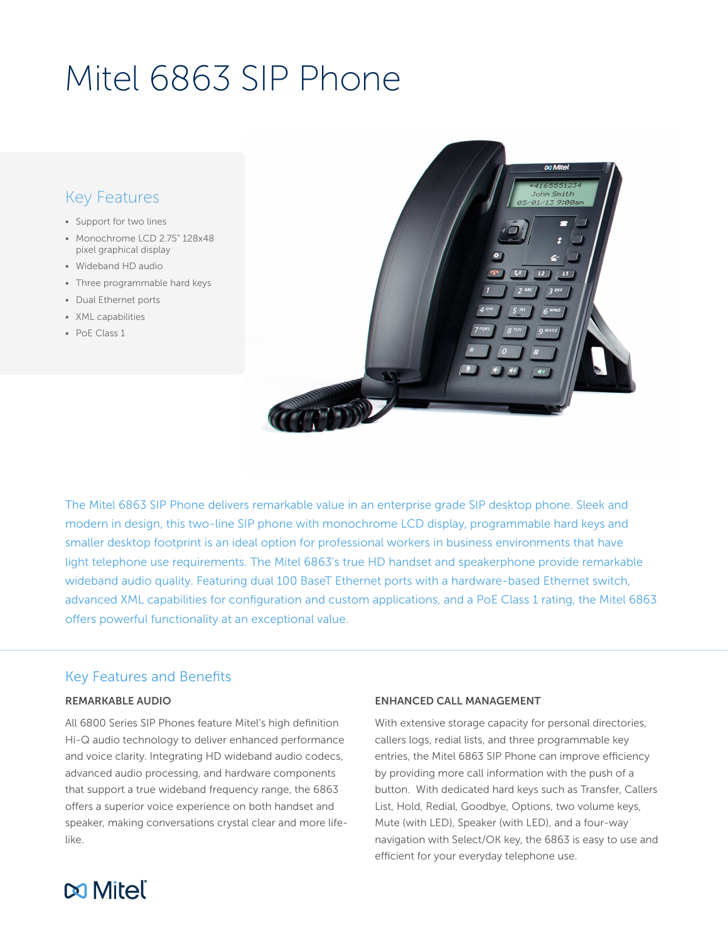# Mitel 6863 SIP Phone

# Key Features

- Support for two lines
- Monochrome LCD 2.75" 128x48 pixel graphical display
- Wideband HD audio
- Three programmable hard keys
- Dual Ethernet ports
- XML capabilities
- PoE Class 1



The Mitel 6863 SIP Phone delivers remarkable value in an enterprise grade SIP desktop phone. Sleek and modern in design, this two-line SIP phone with monochrome LCD display, programmable hard keys and smaller desktop footprint is an ideal option for professional workers in business environments that have light telephone use requirements. The Mitel 6863's true HD handset and speakerphone provide remarkable wideband audio quality. Featuring dual 100 BaseT Ethernet ports with a hardware-based Ethernet switch, advanced XML capabilities for configuration and custom applications, and a PoE Class 1 rating, the Mitel 6863 offers powerful functionality at an exceptional value.

# Key Features and Benefits

#### REMARKABLE AUDIO

All 6800 Series SIP Phones feature Mitel's high definition Hi-Q audio technology to deliver enhanced performance and voice clarity. Integrating HD wideband audio codecs, advanced audio processing, and hardware components that support a true wideband frequency range, the 6863 offers a superior voice experience on both handset and speaker, making conversations crystal clear and more lifelike.

#### ENHANCED CALL MANAGEMENT

With extensive storage capacity for personal directories, callers logs, redial lists, and three programmable key entries, the Mitel 6863 SIP Phone can improve efficiency by providing more call information with the push of a button. With dedicated hard keys such as Transfer, Callers List, Hold, Redial, Goodbye, Options, two volume keys, Mute (with LED), Speaker (with LED), and a four-way navigation with Select/OK key, the 6863 is easy to use and efficient for your everyday telephone use.

# **Mitel**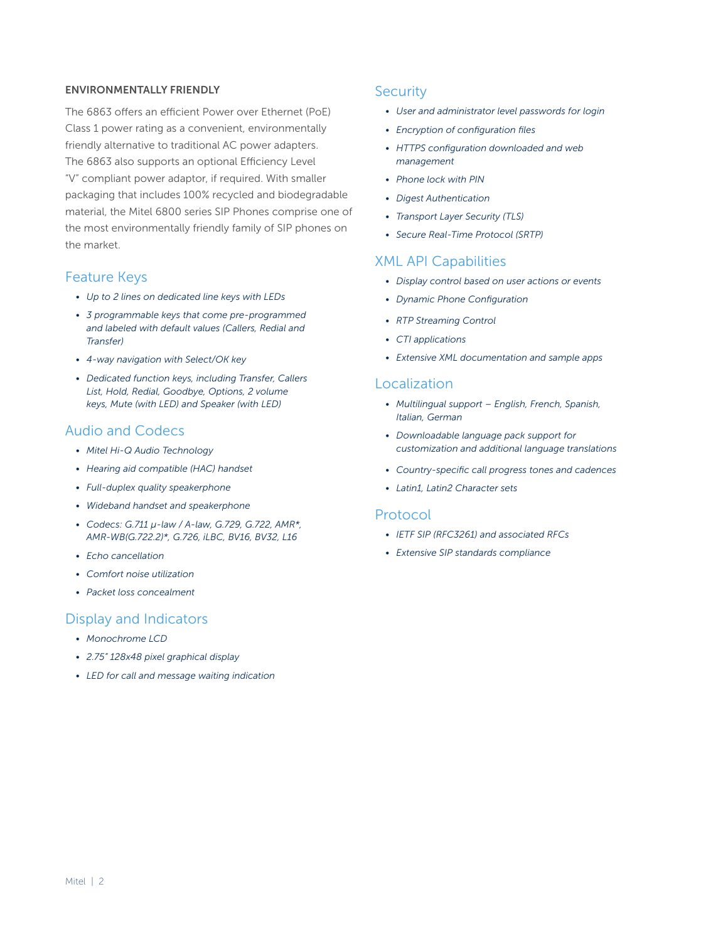#### ENVIRONMENTALLY FRIENDLY

The 6863 offers an efficient Power over Ethernet (PoE) Class 1 power rating as a convenient, environmentally friendly alternative to traditional AC power adapters. The 6863 also supports an optional Efficiency Level "V" compliant power adaptor, if required. With smaller packaging that includes 100% recycled and biodegradable material, the Mitel 6800 series SIP Phones comprise one of the most environmentally friendly family of SIP phones on the market.

# Feature Keys

- *• Up to 2 lines on dedicated line keys with LEDs*
- *• 3 programmable keys that come pre-programmed and labeled with default values (Callers, Redial and Transfer)*
- *• 4-way navigation with Select/OK key*
- *• Dedicated function keys, including Transfer, Callers List, Hold, Redial, Goodbye, Options, 2 volume keys, Mute (with LED) and Speaker (with LED)*

# Audio and Codecs

- *• Mitel Hi-Q Audio Technology*
- *• Hearing aid compatible (HAC) handset*
- *• Full-duplex quality speakerphone*
- *• Wideband handset and speakerphone*
- *• Codecs: G.711 µ-law / A-law, G.729, G.722, AMR\*, AMR-WB(G.722.2)\*, G.726, iLBC, BV16, BV32, L16*
- *• Echo cancellation*
- *• Comfort noise utilization*
- *• Packet loss concealment*

# Display and Indicators

- *• Monochrome LCD*
- *• 2.75" 128x48 pixel graphical display*
- *• LED for call and message waiting indication*

# **Security**

- *• User and administrator level passwords for login*
- *• Encryption of configuration files*
- *• HTTPS configuration downloaded and web management*
- *• Phone lock with PIN*
- *• Digest Authentication*
- *• Transport Layer Security (TLS)*
- *• Secure Real-Time Protocol (SRTP)*

# XML API Capabilities

- *• Display control based on user actions or events*
- *• Dynamic Phone Configuration*
- *• RTP Streaming Control*
- *• CTI applications*
- *• Extensive XML documentation and sample apps*

# Localization

- *• Multilingual support English, French, Spanish, Italian, German*
- *• Downloadable language pack support for customization and additional language translations*
- *• Country-specific call progress tones and cadences*
- *• Latin1, Latin2 Character sets*

#### Protocol

- *• IETF SIP (RFC3261) and associated RFCs*
- *• Extensive SIP standards compliance*